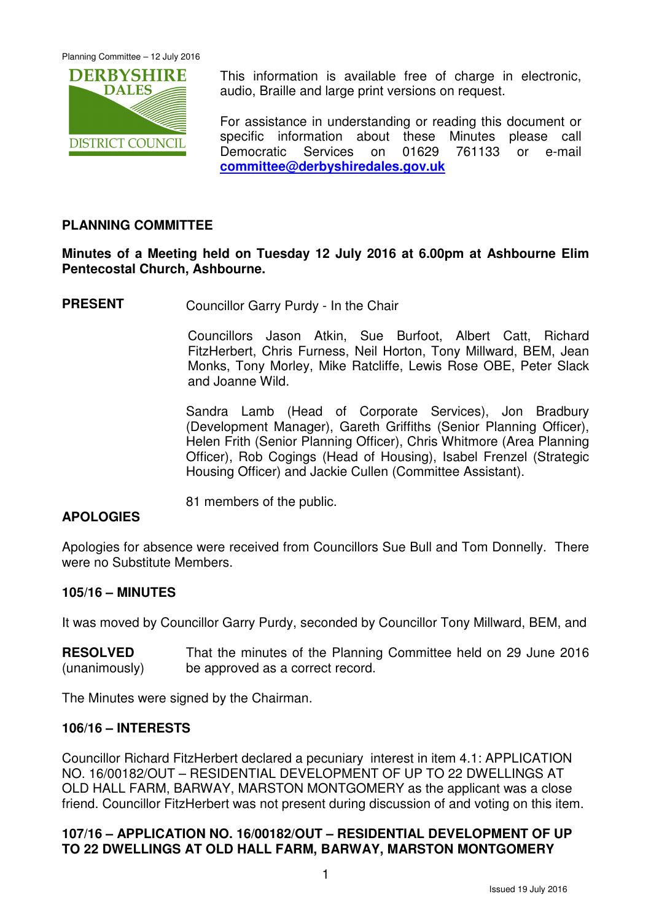

This information is available free of charge in electronic, audio, Braille and large print versions on request.

For assistance in understanding or reading this document or specific information about these Minutes please call Democratic Services on 01629 761133 or e-mail **committee@derbyshiredales.gov.uk**

# **PLANNING COMMITTEE**

## **Minutes of a Meeting held on Tuesday 12 July 2016 at 6.00pm at Ashbourne Elim Pentecostal Church, Ashbourne.**

**PRESENT** Councillor Garry Purdy - In the Chair

 Councillors Jason Atkin, Sue Burfoot, Albert Catt, Richard FitzHerbert, Chris Furness, Neil Horton, Tony Millward, BEM, Jean Monks, Tony Morley, Mike Ratcliffe, Lewis Rose OBE, Peter Slack and Joanne Wild.

Sandra Lamb (Head of Corporate Services), Jon Bradbury (Development Manager), Gareth Griffiths (Senior Planning Officer), Helen Frith (Senior Planning Officer), Chris Whitmore (Area Planning Officer), Rob Cogings (Head of Housing), Isabel Frenzel (Strategic Housing Officer) and Jackie Cullen (Committee Assistant).

81 members of the public.

## **APOLOGIES**

Apologies for absence were received from Councillors Sue Bull and Tom Donnelly. There were no Substitute Members.

## **105/16 – MINUTES**

It was moved by Councillor Garry Purdy, seconded by Councillor Tony Millward, BEM, and

**RESOLVED** (unanimously) That the minutes of the Planning Committee held on 29 June 2016 be approved as a correct record.

The Minutes were signed by the Chairman.

#### **106/16 – INTERESTS**

Councillor Richard FitzHerbert declared a pecuniary interest in item 4.1: APPLICATION NO. 16/00182/OUT – RESIDENTIAL DEVELOPMENT OF UP TO 22 DWELLINGS AT OLD HALL FARM, BARWAY, MARSTON MONTGOMERY as the applicant was a close friend. Councillor FitzHerbert was not present during discussion of and voting on this item.

# **107/16 – APPLICATION NO. 16/00182/OUT – RESIDENTIAL DEVELOPMENT OF UP TO 22 DWELLINGS AT OLD HALL FARM, BARWAY, MARSTON MONTGOMERY**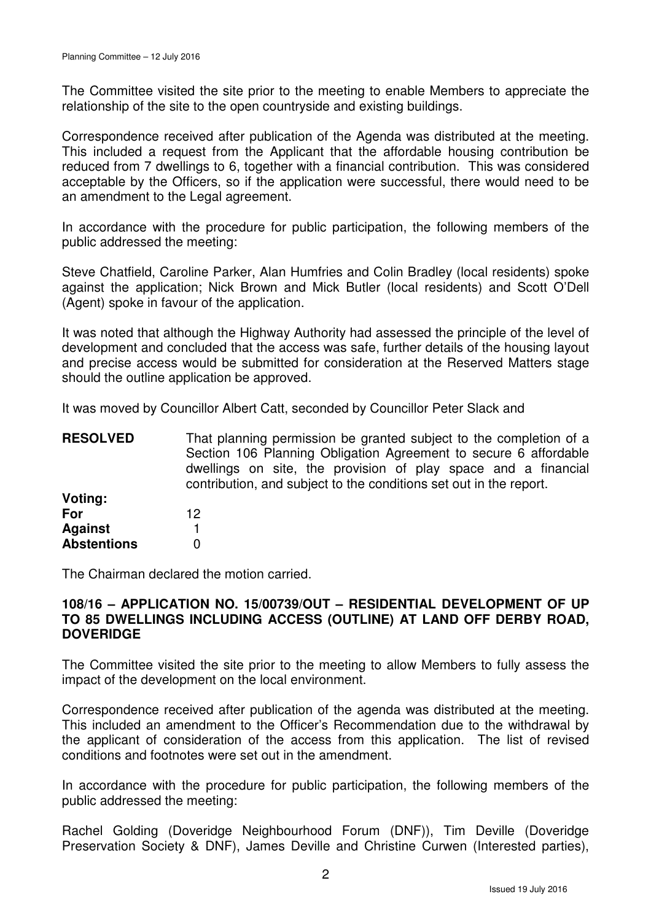The Committee visited the site prior to the meeting to enable Members to appreciate the relationship of the site to the open countryside and existing buildings.

Correspondence received after publication of the Agenda was distributed at the meeting. This included a request from the Applicant that the affordable housing contribution be reduced from 7 dwellings to 6, together with a financial contribution. This was considered acceptable by the Officers, so if the application were successful, there would need to be an amendment to the Legal agreement.

In accordance with the procedure for public participation, the following members of the public addressed the meeting:

Steve Chatfield, Caroline Parker, Alan Humfries and Colin Bradley (local residents) spoke against the application; Nick Brown and Mick Butler (local residents) and Scott O'Dell (Agent) spoke in favour of the application.

It was noted that although the Highway Authority had assessed the principle of the level of development and concluded that the access was safe, further details of the housing layout and precise access would be submitted for consideration at the Reserved Matters stage should the outline application be approved.

It was moved by Councillor Albert Catt, seconded by Councillor Peter Slack and

| <b>RESOLVED</b>    | That planning permission be granted subject to the completion of a |
|--------------------|--------------------------------------------------------------------|
|                    | Section 106 Planning Obligation Agreement to secure 6 affordable   |
|                    | dwellings on site, the provision of play space and a financial     |
|                    | contribution, and subject to the conditions set out in the report. |
| Voting:            |                                                                    |
| For                | 12                                                                 |
| <b>Against</b>     |                                                                    |
| <b>Abstentions</b> | O                                                                  |

The Chairman declared the motion carried.

## **108/16 – APPLICATION NO. 15/00739/OUT – RESIDENTIAL DEVELOPMENT OF UP TO 85 DWELLINGS INCLUDING ACCESS (OUTLINE) AT LAND OFF DERBY ROAD, DOVERIDGE**

The Committee visited the site prior to the meeting to allow Members to fully assess the impact of the development on the local environment.

Correspondence received after publication of the agenda was distributed at the meeting. This included an amendment to the Officer's Recommendation due to the withdrawal by the applicant of consideration of the access from this application. The list of revised conditions and footnotes were set out in the amendment.

In accordance with the procedure for public participation, the following members of the public addressed the meeting:

Rachel Golding (Doveridge Neighbourhood Forum (DNF)), Tim Deville (Doveridge Preservation Society & DNF), James Deville and Christine Curwen (Interested parties),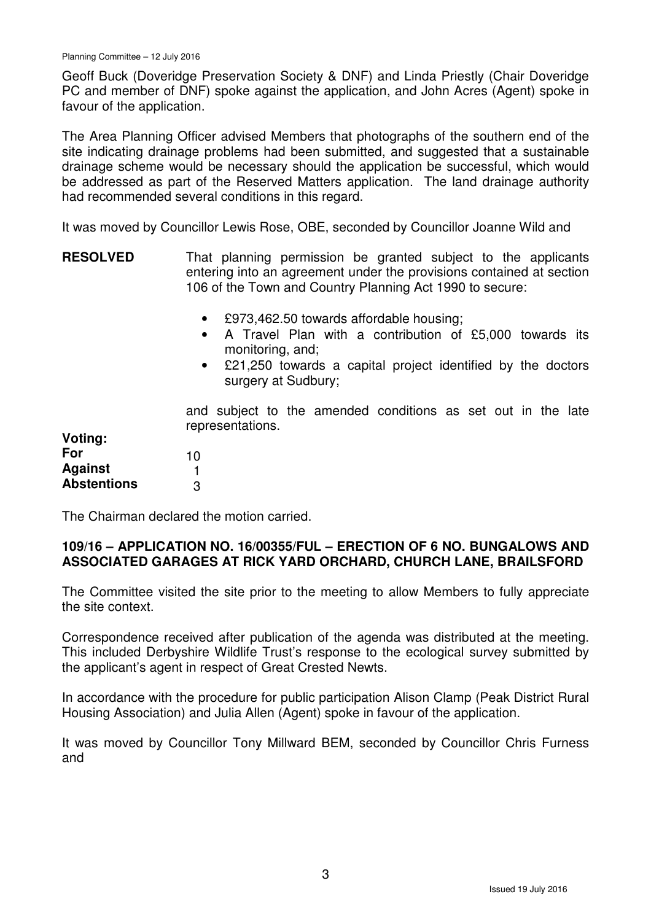Geoff Buck (Doveridge Preservation Society & DNF) and Linda Priestly (Chair Doveridge PC and member of DNF) spoke against the application, and John Acres (Agent) spoke in favour of the application.

The Area Planning Officer advised Members that photographs of the southern end of the site indicating drainage problems had been submitted, and suggested that a sustainable drainage scheme would be necessary should the application be successful, which would be addressed as part of the Reserved Matters application. The land drainage authority had recommended several conditions in this regard.

It was moved by Councillor Lewis Rose, OBE, seconded by Councillor Joanne Wild and

- **RESOLVED** That planning permission be granted subject to the applicants entering into an agreement under the provisions contained at section 106 of the Town and Country Planning Act 1990 to secure:
	- £973,462.50 towards affordable housing;
	- A Travel Plan with a contribution of £5,000 towards its monitoring, and;
	- £21,250 towards a capital project identified by the doctors surgery at Sudbury;

**Voting: For Against Abstentions**  and subject to the amended conditions as set out in the late representations. 10 1 3

The Chairman declared the motion carried.

## **109/16 – APPLICATION NO. 16/00355/FUL – ERECTION OF 6 NO. BUNGALOWS AND ASSOCIATED GARAGES AT RICK YARD ORCHARD, CHURCH LANE, BRAILSFORD**

The Committee visited the site prior to the meeting to allow Members to fully appreciate the site context.

Correspondence received after publication of the agenda was distributed at the meeting. This included Derbyshire Wildlife Trust's response to the ecological survey submitted by the applicant's agent in respect of Great Crested Newts.

In accordance with the procedure for public participation Alison Clamp (Peak District Rural Housing Association) and Julia Allen (Agent) spoke in favour of the application.

It was moved by Councillor Tony Millward BEM, seconded by Councillor Chris Furness and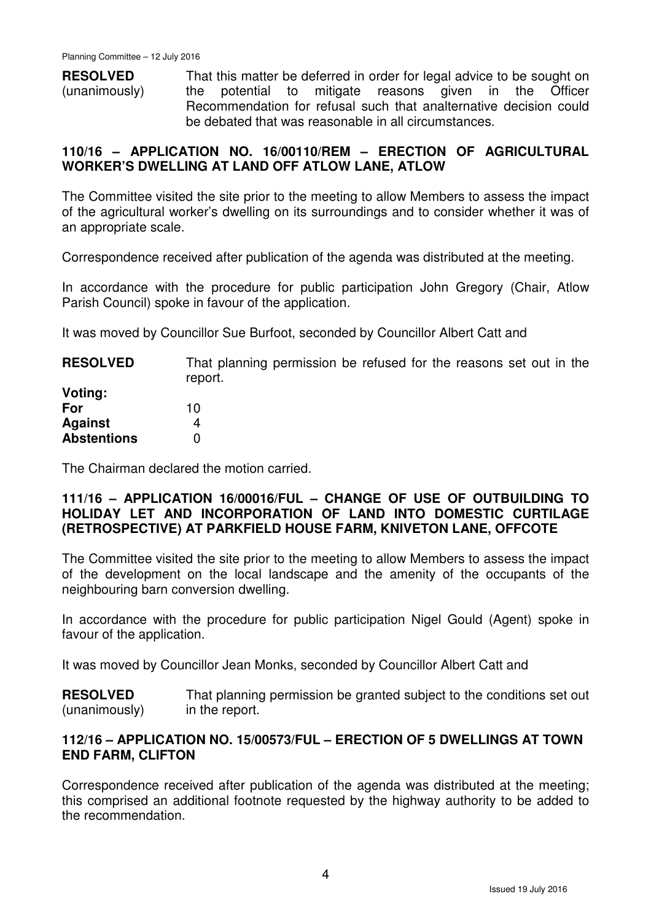**RESOLVED** (unanimously) That this matter be deferred in order for legal advice to be sought on the potential to mitigate reasons given in the Officer Recommendation for refusal such that analternative decision could be debated that was reasonable in all circumstances.

## **110/16 – APPLICATION NO. 16/00110/REM – ERECTION OF AGRICULTURAL WORKER'S DWELLING AT LAND OFF ATLOW LANE, ATLOW**

The Committee visited the site prior to the meeting to allow Members to assess the impact of the agricultural worker's dwelling on its surroundings and to consider whether it was of an appropriate scale.

Correspondence received after publication of the agenda was distributed at the meeting.

In accordance with the procedure for public participation John Gregory (Chair, Atlow Parish Council) spoke in favour of the application.

It was moved by Councillor Sue Burfoot, seconded by Councillor Albert Catt and

**RESOLVED** That planning permission be refused for the reasons set out in the report.

**Voting: For Against Abstentions**  10 4  $\Omega$ 

The Chairman declared the motion carried.

### **111/16 – APPLICATION 16/00016/FUL – CHANGE OF USE OF OUTBUILDING TO HOLIDAY LET AND INCORPORATION OF LAND INTO DOMESTIC CURTILAGE (RETROSPECTIVE) AT PARKFIELD HOUSE FARM, KNIVETON LANE, OFFCOTE**

The Committee visited the site prior to the meeting to allow Members to assess the impact of the development on the local landscape and the amenity of the occupants of the neighbouring barn conversion dwelling.

In accordance with the procedure for public participation Nigel Gould (Agent) spoke in favour of the application.

It was moved by Councillor Jean Monks, seconded by Councillor Albert Catt and

**RESOLVED** (unanimously) That planning permission be granted subject to the conditions set out in the report.

# **112/16 – APPLICATION NO. 15/00573/FUL – ERECTION OF 5 DWELLINGS AT TOWN END FARM, CLIFTON**

Correspondence received after publication of the agenda was distributed at the meeting; this comprised an additional footnote requested by the highway authority to be added to the recommendation.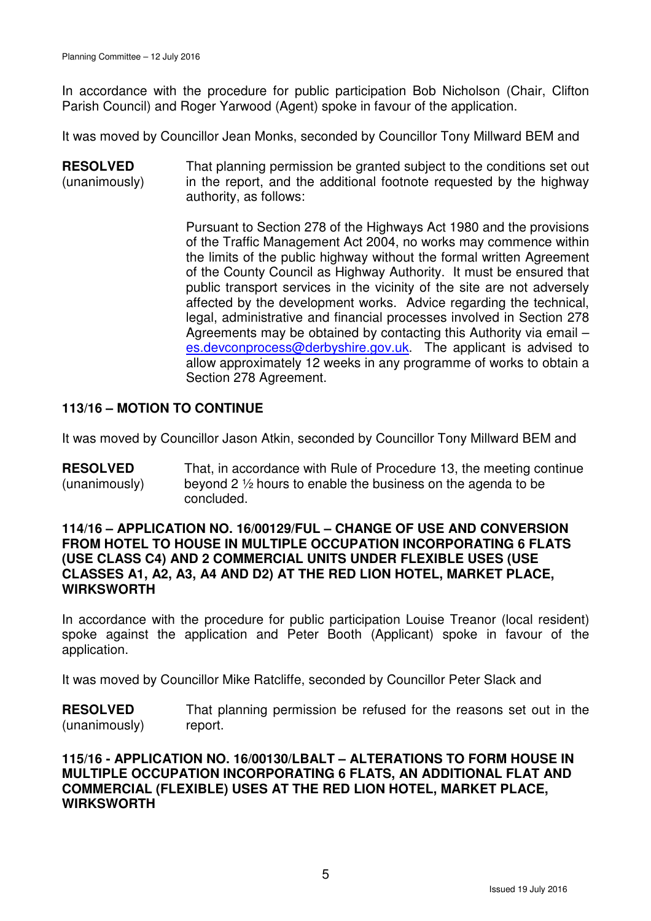In accordance with the procedure for public participation Bob Nicholson (Chair, Clifton Parish Council) and Roger Yarwood (Agent) spoke in favour of the application.

It was moved by Councillor Jean Monks, seconded by Councillor Tony Millward BEM and

**RESOLVED** (unanimously) That planning permission be granted subject to the conditions set out in the report, and the additional footnote requested by the highway authority, as follows:

> Pursuant to Section 278 of the Highways Act 1980 and the provisions of the Traffic Management Act 2004, no works may commence within the limits of the public highway without the formal written Agreement of the County Council as Highway Authority. It must be ensured that public transport services in the vicinity of the site are not adversely affected by the development works. Advice regarding the technical, legal, administrative and financial processes involved in Section 278 Agreements may be obtained by contacting this Authority via email – es.devconprocess@derbyshire.gov.uk. The applicant is advised to allow approximately 12 weeks in any programme of works to obtain a Section 278 Agreement.

## **113/16 – MOTION TO CONTINUE**

It was moved by Councillor Jason Atkin, seconded by Councillor Tony Millward BEM and

**RESOLVED** (unanimously) That, in accordance with Rule of Procedure 13, the meeting continue beyond 2 ½ hours to enable the business on the agenda to be concluded.

#### **114/16 – APPLICATION NO. 16/00129/FUL – CHANGE OF USE AND CONVERSION FROM HOTEL TO HOUSE IN MULTIPLE OCCUPATION INCORPORATING 6 FLATS (USE CLASS C4) AND 2 COMMERCIAL UNITS UNDER FLEXIBLE USES (USE CLASSES A1, A2, A3, A4 AND D2) AT THE RED LION HOTEL, MARKET PLACE, WIRKSWORTH**

In accordance with the procedure for public participation Louise Treanor (local resident) spoke against the application and Peter Booth (Applicant) spoke in favour of the application.

It was moved by Councillor Mike Ratcliffe, seconded by Councillor Peter Slack and

**RESOLVED** (unanimously) That planning permission be refused for the reasons set out in the report.

### **115/16 - APPLICATION NO. 16/00130/LBALT – ALTERATIONS TO FORM HOUSE IN MULTIPLE OCCUPATION INCORPORATING 6 FLATS, AN ADDITIONAL FLAT AND COMMERCIAL (FLEXIBLE) USES AT THE RED LION HOTEL, MARKET PLACE, WIRKSWORTH**